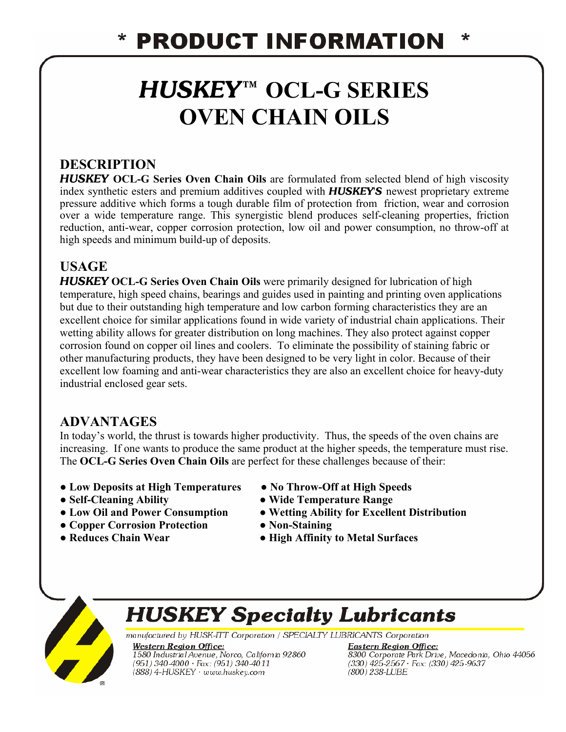# *HUSKEY™* **OCL-G SERIES OVEN CHAIN OILS**

## **DESCRIPTION**

*HUSKEY* **OCL-G Series Oven Chain Oils** are formulated from selected blend of high viscosity index synthetic esters and premium additives coupled with *HUSKEY'S* newest proprietary extreme pressure additive which forms a tough durable film of protection from friction, wear and corrosion over a wide temperature range. This synergistic blend produces self-cleaning properties, friction reduction, anti-wear, copper corrosion protection, low oil and power consumption, no throw-off at high speeds and minimum build-up of deposits.

### **USAGE**

*HUSKEY* **OCL-G Series Oven Chain Oils** were primarily designed for lubrication of high temperature, high speed chains, bearings and guides used in painting and printing oven applications but due to their outstanding high temperature and low carbon forming characteristics they are an excellent choice for similar applications found in wide variety of industrial chain applications. Their wetting ability allows for greater distribution on long machines. They also protect against copper corrosion found on copper oil lines and coolers. To eliminate the possibility of staining fabric or other manufacturing products, they have been designed to be very light in color. Because of their excellent low foaming and anti-wear characteristics they are also an excellent choice for heavy-duty industrial enclosed gear sets.

### **ADVANTAGES**

In today's world, the thrust is towards higher productivity. Thus, the speeds of the oven chains are increasing. If one wants to produce the same product at the higher speeds, the temperature must rise. The **OCL-G Series Oven Chain Oils** are perfect for these challenges because of their:

- **● Low Deposits at High Temperatures ● No Throw-Off at High Speeds**
- 
- 
- **● Copper Corrosion Protection ● Non-Staining**
- 
- 
- **● Self-Cleaning Ability ● Wide Temperature Range**
- **● Low Oil and Power Consumption ● Wetting Ability for Excellent Distribution** 
	-
- **● Reduces Chain Wear ● High Affinity to Metal Surfaces**



# **HUSKEY Specialty Lubricants**

manufactured by HUSK-ITT Corporation / SPECIALTY LUBRICANTS Corporation

**Western Region Office:** 1580 Industrial Avenue, Norco, California 92860 (951) 340-4000 · Fax: (951) 340-4011 (888) 4-HUSKEY · www.huskey.com

**Eastern Region Office:** 8300 Corporate Park Drive, Macedonia, Ohio 44056<br>(330) 425-2567 · Fax: (330) 425-9637  $(800)$  238-LUBE